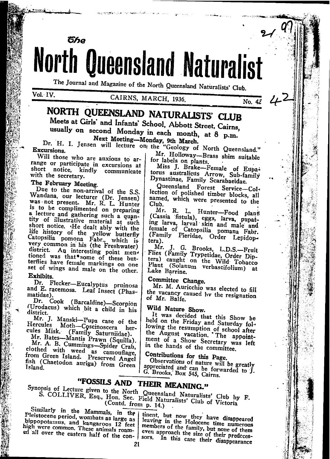

The Journal and Magazine of the North Queensland Naturalists' Club.

Vol. IV.

### CAIRNS, MARCH, 1936.

No. 42

# NORTH QUEENSLAND NATURALISTS' CLUB

Meets at Girls' and Infants' School, Abbott Street, Cairns, usually on second Monday in each month, at 8 p.m.

Next Meeting-Monday, 9th March.

Dr. H. I. Jensen will lecture on the "Geology of North Queensland." **Excursions** 

Will those who are anxious to arrange or participate in excursions at short notice, kindly communicate with the secretary.

## The February Meeting.

Due to the non-arrival of the S.S. Wandana, our lecturer (Dr. Jensen) was not present. Mr. R. L. Hunter is to be complimented on preparing a lecture and gathering such a quantity of illustrative material at such short notice. He dealt ably with the life history of the yellow butterfly<br>Catopsilia pomona Fabr., which is very common in his (the Freshwater) district. An interesting point mentioned was that some of these butterflies have female markings on one set of wings and male on the other.

#### Exhibits.

Dr. Flecker-Eucalyptus pruinosa and E. racemosa. Leaf Insect (Phasmatidae).

Dr. Cook (Barcaldine)-Scorpion (Urodacus) which bit a child in his district.

Mr. J. Manski-Pupa case of the Hercules Moth-Coscinoscera hercules Misk. (Family Saturniidae).

Mr. Bates-Mantis Prawn (Squilla). Mr. A. B. Cummings-Spider Crab, clothed with weed as camouflage, from Green Island. Preserved Angel fish (Chaetodon auriga) from Green Island.

Mr. Holloway-Brass shim suitable for labels on plants.

Miss J. Brake-Female of Eupa-<br>torus australicus Arrow, Sub-family Dynastinae, Family Scarabaeidae.

Queensland Forest Service-Collection of polished timber blocks, all named, which were presented to the Club.

Mr. R. L. Hunter-Food plant<br>(Cassia fistula), eggs, larva, pupat-<br>ing larva, larval skin and male and<br>female of Catopsilia, pomana Fabr. (Family Pieridae, Order Lepidoptera).

Mr. J. G. Brooks, L.D.S.-Fruit<br>Flies (Family Trypetidae, Order Dip-<br>tera) caught on the Wild Tobacco<br>Planta Contention to Wild Tobacco Plant (Solanum verbascifolium) at Lake Barrine.

# Committee Change.

Mr. M. Auricchio was elected to fill the vacancy caused by the resignation of Mr. Balfe.

# Wild Nature Show.

It was decided that this Show be held on the Friday and Saturday folhowing the resumption of school after<br>the August vacation. The appoint-<br>ment of a Show Secretary was left in the hands of the committee.

Contributions for this Page.

Observations of nature will be greatly appreciated and can be forwarded to j. G. Brooks, Box 545, Cairns.

# "FOSSILS AND THEIR MEANING."

Synopsis of Lecture given to the North Queensland Naturalists' Club by F. S. COLLIVER, Esq., Hon. Sec. Field Naturalists' Club of Victoria (Contd. from p. 14.)

Similarly in the Mammals, in the Pleistocene period, wombats as large as hippopotamus, and kangaroos 12 feet<br>high were common. These animals roam-

tinent, but now they have disappeared leaving in the Holocene time numerous members of the family, but none of them ed all over the eastern half of the con- sors. In this case their disappearance even approach the size of their predeces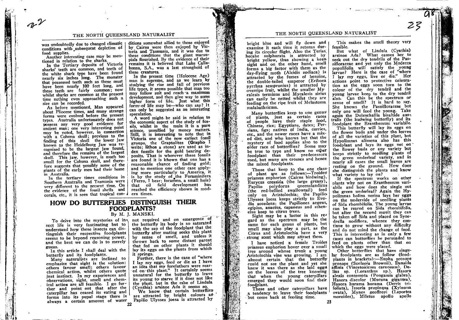was undoubtedly due to changed climatic conditions with subsequent depletion of food supplies.

Another interesting case may be mentioned in relation to the sharks.

In the Tertiary deposits of Victoria sharks' teeth are common, and teeth of the white shark type have been found nearly six inches long. The monster that possessed teeth such as these must have been nearly 100 feet long, and these teeth are fairly common; now whilst sharks are common at the present time nothing even approaching such a size can be recorded.

As before mentioned, Man appeared about Pliocene times, and many strange forms were evolved before the present types. Australia unfortunately does not possess any very good evidence for ancient man; one very interesting point may be noted, however, in connection with a Cohuna skull; previous to the finding of this skull the lower jaw known as the Heidelburg Jaw was recognised to be the largest jaw found, and therefore the remains of the largest skull. This jaw, however, is much too small for the Cohuna skull, and therefore suggests that possibly some of the giants of the early men had their home in Australia.

In the tertiary times conditions in Southern Australia and Tasmania were very different to the present time. On the evidence of the fossil shells and corals, etc., it is seen that tropical con-  $\ell$  ern times.

ditions somewhat allied to those enjoyed by Cairns were then enjoyed by Victoria and Tasmania, and it was due to these conditions that the giant marsupials flourished. By the evidence of their remains it is believed that Lake Callabonna, S.A., was a last stronghold of these creatures.

In the present time (Holocene Age) man is supreme. and as we learn by studying the rise and fall of previous life types, it seems possible that man too may follow suit and reach a maximum development, and then give way to some higher form of life. Just what this form of life may be-who can say? It can only be suggested as an interesting speculation.

A word might be said in relation to the economic aspect of the study of fossils, whilst in the main it is a pure science, unsullied by money matters. Still, it is interesting to note that in Victoria one of the now extinct fossil groups, the Graptolites (Grapho I write; lithos a stone) are used as index fossils for the gold bearing deposits. That is wherever these fossils are found it is known that one has a reasonable chance of finding gold; and to mention one other case applying more particularly to America, it is by the study of the Foraminifera (Ferro, I bear; foramen, a small hole) that oil field development has reached the efficiency shown in mod-

## HOW DO BUTTERFLIES DISTINGUISH THEIR **FOODPLANTS?** By M. J. MANSKI.

sect life is very fascinating but to understand how these insects can distinguish their respective foodplants seems to be beyond reasoning power, and the best we can do is to merely guess.

In this article I shall deal with the butterfly and its foodplants.

Many naturalists are inclined to emphasise that sight is the solution: others favour smell: others favour chemical action, whilst others quote just instinct. In my experiences and observations, sight, smell and chemical action are all feasible. I go further and point out that after the caterpillar has ceased its eating and forms into its pupal stage there is

To deive into the mysteries of in-, not required and on emergence of the butterfly its body is so saturated with the sap of the foodplant that the butterfly after mating seeks this plant by sense of smell, and unless it throws back to some distant parent that fed on other plants it should lay its eggs on the plants from which it springs.

Further, there is the case of "where I lay my eggs, feed or die as I have an idea that my forefathers were rear $ed$  on this plant." It certainly seems unnatural for the butterfly to leave its young to starve if it does not like the plant. but in the case of Lindula (Cynthia) arsinoe Ada it seems so.

We know that certain butterflies are attracted by bright colours as always a certain amount of water Papilio Ulysses joesa is attracted by

### THE NORTH QUEENSLAND NATURALIST

bright blue and will fly down and examine it each time it returns during its circular flight. Also the Terias, hecabe sulphurata is attracted by bright yellow, thus showing a keen sight and on the other hand. smell forms a big factor with them as the day-flying moth (Alcidis zodiaca) is attracted by the fumes of benzine, the double-tailed emperor (Eriboea pyrrhus sempronius) is attracted by overripe fruit, whilst the smaller Mycalesis terminus and Mycalesis sirius can easily be netted whilst they are feeding on the ripe fruit of Melastoma malabathricum.

Many butterflies keep to one genus of plants, just as certain races<br>of people have their staple food, Chinese, rice; Egyptians, dates; Persians, figs; natives of India, curries, etc., and the newer races have a mixed diet, and who knows but that the mystery of food applies also to the older race of butterflies? Some may be true to type and know no other foodplant than their predecessors used, but many are crosses and hence the mixed foodplants.

Those that keep to the one class of plant are as follows:-Troides priamus euphorion (Cairns birdwing), Eurycus cressida (the large greasy), Papilio polydorus queenslandicus (the red-bellied swallowtail) feed only on Aristolochia; the Papilio Ulysses joesa keeps strictly to Evodia accedens: the Papiliones aegeus, egipius, anactus, capaneus and sthenelus keep to citrus trees.

Sight may be a 'factor in this regard as the spectrum may be the same for each genus of plants, but smell may also play a part, as the Citrus and Aristolochia have a very strong scent which may attract them.

I have noticed a female Troides priamus euphorion hover over a small tree around whose trunk a young Aristolochia vine was growing. I am almost certain that the butterfly could not see the plant and yet she knew it was there as she laid eggs on the leaves of the tree knowing that when the young caterpillars emerged they would soon find their foodplant.

These and other caterpillars have a tendency to leave their foodplants but come back at feeding time.

This makes the smell theory very feasible.

 $\mathcal{Z}\mathcal{Z}$ 

But what of Lindula (Cynthia) arsinoe Ada? What causes her to seek out the dry tendrils of the Passifloraceae and yet only the Modecca populifolia will satisfy the young larvae? Here is the case of "where I lay my eggs, live or die." Her actions point to protective colouration as the eggs soon turn to the colour of the dry tendril and the young larvae keep to the dry tendril also. Can this be the spectrum or sense of smell? It is hard to say. She knows the Passifloraceae but only one will feed the voung. Take again the Doleschallia bisaltide australis (the leafwing butterfly) and its foodplant the Eranthemum variabile.

This butterfly will lay its eggs on the flower buds and under the leaves of all the varieties of this plant, but Hypolimnas alimena also has this foodplant and lays its eggs not on the flower buds or any variety but keeps strictly to seedling plants of the green underleaf variety, and in nearly all cases the small leaves are resting on the ground. How does she distinguish the plants and know what variety to lay on?

If the spectrum works on other plants why not on Eranthemum variabile and how does she single out the green underleaf? Again the Hypolimnas bolina nerina lays her eggs on the underside of seedling plants of Sida rhombifolia. The young larvae can be reared on Sida rhombifolia, but after the second moult they can be taken off Sida and placed on Synedrella nodiflora, whence they continue to grow without any difficulty and do not mind the change of food. This is interesting as in only a few cases can butterflies be persuaded to feed on plants other than that on which the eggs were placed.

Other butterflies that have singular foodplants are as follow (foodplants in brackets):-Eupha prosope prosone (Scolonia Brownii), Danaida affinis (Vincetoxicum carnosum), Delias sp. (Loranthus sp.), Hasora alexis contempta (Pongamia glabra), Hasora discolor (Mucuna gigantea). Hasora hurama hurama (Derris trifoliata), Issoria propinqua (Xylosma<br>ovata), Mynes geoffroyi (Laportea moroides), Miletus apollo apollo